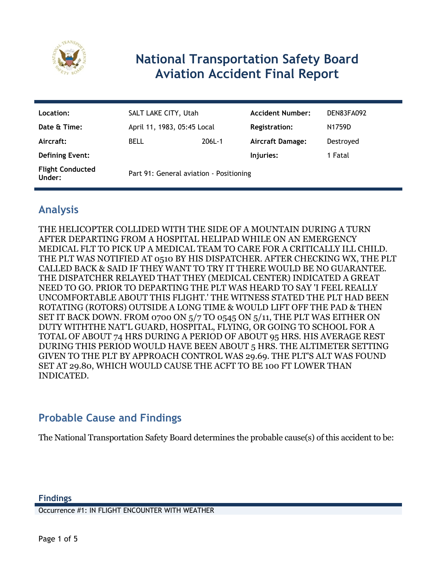

# **National Transportation Safety Board Aviation Accident Final Report**

| Location:                         | SALT LAKE CITY, Utah                    |        | <b>Accident Number:</b> | DEN83FA092 |
|-----------------------------------|-----------------------------------------|--------|-------------------------|------------|
| Date & Time:                      | April 11, 1983, 05:45 Local             |        | <b>Registration:</b>    | N1759D     |
| Aircraft:                         | <b>BELL</b>                             | 206L-1 | <b>Aircraft Damage:</b> | Destroyed  |
| <b>Defining Event:</b>            |                                         |        | Injuries:               | 1 Fatal    |
| <b>Flight Conducted</b><br>Under: | Part 91: General aviation - Positioning |        |                         |            |

## **Analysis**

THE HELICOPTER COLLIDED WITH THE SIDE OF A MOUNTAIN DURING A TURN AFTER DEPARTING FROM A HOSPITAL HELIPAD WHILE ON AN EMERGENCY MEDICAL FLT TO PICK UP A MEDICAL TEAM TO CARE FOR A CRITICALLY ILL CHILD. THE PLT WAS NOTIFIED AT 0510 BY HIS DISPATCHER. AFTER CHECKING WX, THE PLT CALLED BACK & SAID IF THEY WANT TO TRY IT THERE WOULD BE NO GUARANTEE. THE DISPATCHER RELAYED THAT THEY (MEDICAL CENTER) INDICATED A GREAT NEED TO GO. PRIOR TO DEPARTING THE PLT WAS HEARD TO SAY 'I FEEL REALLY UNCOMFORTABLE ABOUT THIS FLIGHT.' THE WITNESS STATED THE PLT HAD BEEN ROTATING (ROTORS) OUTSIDE A LONG TIME & WOULD LIFT OFF THE PAD & THEN SET IT BACK DOWN. FROM 0700 ON 5/7 TO 0545 ON 5/11, THE PLT WAS EITHER ON DUTY WITHTHE NAT'L GUARD, HOSPITAL, FLYING, OR GOING TO SCHOOL FOR A TOTAL OF ABOUT 74 HRS DURING A PERIOD OF ABOUT 95 HRS. HIS AVERAGE REST DURING THIS PERIOD WOULD HAVE BEEN ABOUT 5 HRS. THE ALTIMETER SETTING GIVEN TO THE PLT BY APPROACH CONTROL WAS 29.69. THE PLT'S ALT WAS FOUND SET AT 29.80, WHICH WOULD CAUSE THE ACFT TO BE 100 FT LOWER THAN INDICATED.

#### **Probable Cause and Findings**

The National Transportation Safety Board determines the probable cause(s) of this accident to be:

Occurrence #1: IN FLIGHT ENCOUNTER WITH WEATHER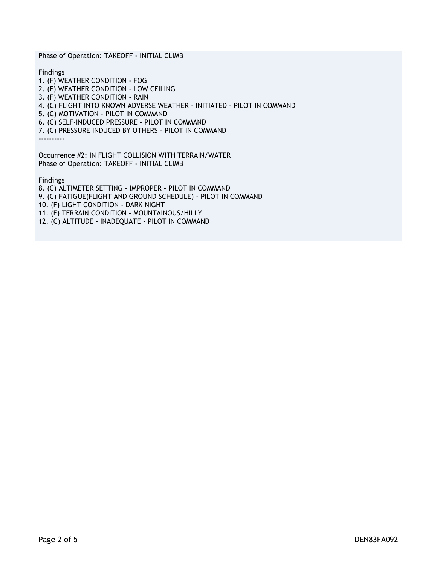Phase of Operation: TAKEOFF - INITIAL CLIMB

Findings

1. (F) WEATHER CONDITION - FOG 2. (F) WEATHER CONDITION - LOW CEILING 3. (F) WEATHER CONDITION - RAIN 4. (C) FLIGHT INTO KNOWN ADVERSE WEATHER - INITIATED - PILOT IN COMMAND 5. (C) MOTIVATION - PILOT IN COMMAND 6. (C) SELF-INDUCED PRESSURE - PILOT IN COMMAND 7. (C) PRESSURE INDUCED BY OTHERS - PILOT IN COMMAND ----------

Occurrence #2: IN FLIGHT COLLISION WITH TERRAIN/WATER Phase of Operation: TAKEOFF - INITIAL CLIMB

Findings

8. (C) ALTIMETER SETTING - IMPROPER - PILOT IN COMMAND 9. (C) FATIGUE(FLIGHT AND GROUND SCHEDULE) - PILOT IN COMMAND 10. (F) LIGHT CONDITION - DARK NIGHT 11. (F) TERRAIN CONDITION - MOUNTAINOUS/HILLY 12. (C) ALTITUDE - INADEQUATE - PILOT IN COMMAND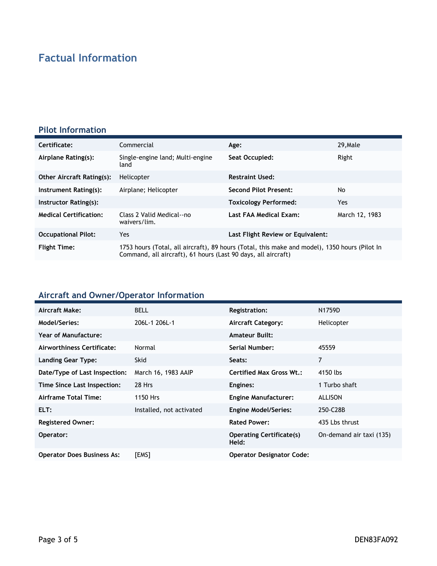# **Factual Information**

#### **Pilot Information**

| Certificate:                     | Commercial                                                                                                                                                     | Age:                              | 29. Male       |
|----------------------------------|----------------------------------------------------------------------------------------------------------------------------------------------------------------|-----------------------------------|----------------|
| Airplane Rating(s):              | Single-engine land; Multi-engine<br>land                                                                                                                       | Seat Occupied:                    | Right          |
| <b>Other Aircraft Rating(s):</b> | Helicopter                                                                                                                                                     | <b>Restraint Used:</b>            |                |
| Instrument Rating(s):            | Airplane; Helicopter                                                                                                                                           | <b>Second Pilot Present:</b>      | No             |
| Instructor Rating(s):            |                                                                                                                                                                | <b>Toxicology Performed:</b>      | Yes.           |
| <b>Medical Certification:</b>    | Class 2 Valid Medical--no<br>waivers/lim.                                                                                                                      | Last FAA Medical Exam:            | March 12, 1983 |
| <b>Occupational Pilot:</b>       | Yes                                                                                                                                                            | Last Flight Review or Equivalent: |                |
| <b>Flight Time:</b>              | 1753 hours (Total, all aircraft), 89 hours (Total, this make and model), 1350 hours (Pilot In<br>Command, all aircraft), 61 hours (Last 90 days, all aircraft) |                                   |                |

### **Aircraft and Owner/Operator Information**

| Aircraft Make:                    | <b>BELL</b>              | Registration:                            | N1759D                   |
|-----------------------------------|--------------------------|------------------------------------------|--------------------------|
| Model/Series:                     | 206L-1 206L-1            | Aircraft Category:                       | Helicopter               |
| Year of Manufacture:              |                          | <b>Amateur Built:</b>                    |                          |
| Airworthiness Certificate:        | Normal                   | <b>Serial Number:</b>                    | 45559                    |
| Landing Gear Type:                | <b>Skid</b>              | Seats:                                   | $\overline{7}$           |
| Date/Type of Last Inspection:     | March 16, 1983 AAIP      | <b>Certified Max Gross Wt.:</b>          | 4150 lbs                 |
| Time Since Last Inspection:       | 28 Hrs                   | Engines:                                 | 1 Turbo shaft            |
| Airframe Total Time:              | 1150 Hrs                 | <b>Engine Manufacturer:</b>              | <b>ALLISON</b>           |
| ELT:                              | Installed, not activated | <b>Engine Model/Series:</b>              | 250-C28B                 |
| <b>Registered Owner:</b>          |                          | <b>Rated Power:</b>                      | 435 Lbs thrust           |
| Operator:                         |                          | <b>Operating Certificate(s)</b><br>Held: | On-demand air taxi (135) |
| <b>Operator Does Business As:</b> | [EMS]                    | <b>Operator Designator Code:</b>         |                          |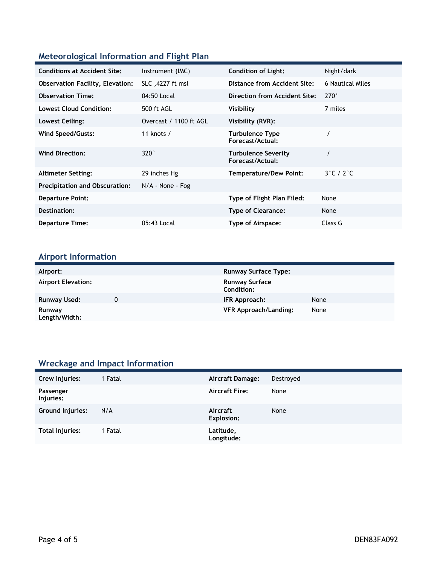#### **Meteorological Information and Flight Plan**

| <b>Conditions at Accident Site:</b>     | Instrument (IMC)       | <b>Condition of Light:</b>                     | Night/dark                 |
|-----------------------------------------|------------------------|------------------------------------------------|----------------------------|
| <b>Observation Facility, Elevation:</b> | SLC, 4227 ft msl       | <b>Distance from Accident Site:</b>            | 6 Nautical Miles           |
| <b>Observation Time:</b>                | 04:50 Local            | Direction from Accident Site:                  | $270^\circ$                |
| <b>Lowest Cloud Condition:</b>          | 500 ft AGL             | Visibility                                     | 7 miles                    |
| Lowest Ceiling:                         | Overcast / 1100 ft AGL | Visibility (RVR):                              |                            |
| Wind Speed/Gusts:                       | 11 knots $/$           | <b>Turbulence Type</b><br>Forecast/Actual:     |                            |
| <b>Wind Direction:</b>                  | $320^\circ$            | <b>Turbulence Severity</b><br>Forecast/Actual: |                            |
| <b>Altimeter Setting:</b>               | 29 inches Hg           | <b>Temperature/Dew Point:</b>                  | $3^\circ$ C / 2 $^\circ$ C |
| <b>Precipitation and Obscuration:</b>   | $N/A$ - None - Fog     |                                                |                            |
| <b>Departure Point:</b>                 |                        | Type of Flight Plan Filed:                     | None                       |
| Destination:                            |                        | <b>Type of Clearance:</b>                      | None                       |
| <b>Departure Time:</b>                  | 05:43 Local            | Type of Airspace:                              | Class G                    |

### **Airport Information**

| Airport:                  | <b>Runway Surface Type:</b>         |      |
|---------------------------|-------------------------------------|------|
|                           |                                     |      |
| <b>Airport Elevation:</b> | <b>Runway Surface</b><br>Condition: |      |
| Runway Used:              | IFR Approach:                       | None |
| Runway<br>Length/Width:   | <b>VFR Approach/Landing:</b>        | None |

### **Wreckage and Impact Information**

| Crew Injuries:         | 1 Fatal | <b>Aircraft Damage:</b>       | Destroyed |
|------------------------|---------|-------------------------------|-----------|
| Passenger<br>Injuries: |         | <b>Aircraft Fire:</b>         | None      |
| Ground Injuries:       | N/A     | Aircraft<br><b>Explosion:</b> | None      |
| Total Injuries:        | 1 Fatal | Latitude,<br>Longitude:       |           |